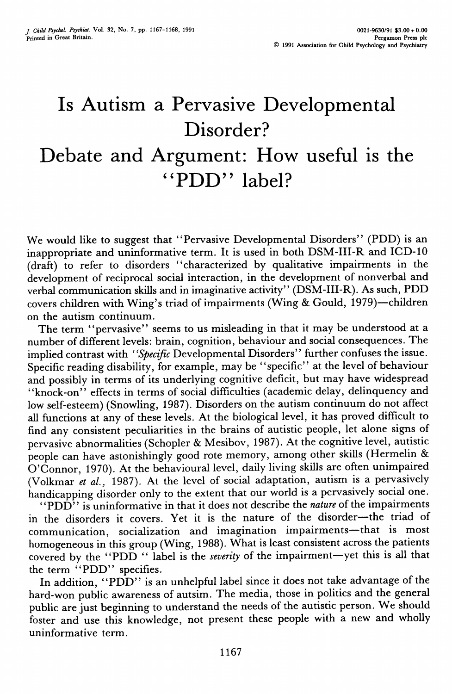## Is Autism a Pervasive Developmental Disorder? Debate and Argument: How useful is the "PDD" label?

We would like to suggest that "Pervasive Developmental Disorders" (PDD) is an inappropriate and uninformative term. It is used in both DSM-III-R and ICD-10 (draft) to refer to disorders "characterized by qualitative impairments in the development of reciprocal social interaction, in the development of nonverbal and verbal communication skills and in imaginative activity" (DSM-III-R). As such, PDD covers children with Wing's triad of impairments (Wing & Gould, 1979)—children on the autism continuum.

The term "pervasive" seems to us misleading in that it may be understood at a number of different levels: brain, cognition, behaviour and social consequences. The implied contrast with *''Specific* Developmental Disorders" further confuses the issue. Specific reading disability, for example, may be "specific" at the level of behaviour and possibly in terms of its underlying cognitive deficit, but may have widespread "knock-on" effects in terms of social difficulties (academic delay, delinquency and low self-esteem) (Snowling, 1987). Disorders on the autism continuum do not affect all functions at any of these levels. At the biological level, it has proved difficult to find any consistent peculiarities in the brains of autistic people, let alone signs of pervasive abnormalities (Schopler & Mesibov, 1987). At the cognitive level, autistic people can have astonishingly good rote memory, among other skills (Hermelin & O'Connor, 1970). At the behavioural level, daily living skills are often unimpaired (Volkmar *et ai,* 1987). At the level of social adaptation, autism is a pervasively handicapping disorder only to the extent that our world is a pervasively social one.

"PDD<sup>"</sup> is uninformative in that it does not describe the *nature* of the impairments in the disorders it covers. Yet it is the nature of the disorder—the triad of communication, socialization and imagination impairments—that is most homogeneous in this group (Wing, 1988). What is least consistent across the patients covered by the "PDD<sup>"</sup> label is the *severity* of the impairment—yet this is all that the term "PDD" specifies.

In addition, "PDD" is an unhelpful label since it does not take advantage of the hard-won public awareness of autsim. The media, those in politics and the general public are just beginning to understand the needs of the autistic person. We should foster and use this knowledge, not present these people with a new and wholly uninformative term.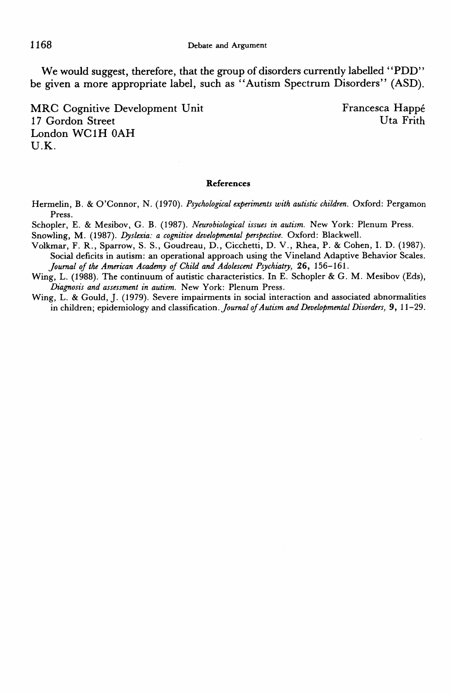We would suggest, therefore, that the group of disorders currently labelled "PDD" be given a more appropriate label, such as "Autism Spectrum Disorders" (ASD).

MRC Cognitive Development Unit Francesca Happé<br>17 Gordon Street Unit Unit Uta Frith 17 Gordon Street London WCIH OAH U.K.

## **References**

Hermelin, B. & O'Connor, N. (1970). *Psychological experiments with autistic children.* Oxford: Pergamon Press.

Schopler, E. & Mesibov, G. B. (1987). *Neurobiological issues in autism.* New York: Plenum Press.

Snowling, M. (1987). *Dyslexia: a cognitive developmental perspective.* Oxford: Blackwell.

Volkmar, F. R., Sparrow, S. S., Goudreau, D., Cicchetti, D. V., Rhea, P. & Cohen, I. D. (1987). Social deficits in autism: an operational approach using the Vineland Adaptive Behavior Scales. *Joumal of the American Academy of Child and Adolescent Psychiatry,* 26, 156-161.

Wing, L. (1988). The continuum of autistic characteristics. In E. Schopler & G. M. Mesibov (Eds), *Diagnosis and assessment in autism.* New York: Plenum Press.

Wing, L. & Gould, J. (1979). Severe impairments in social interaction and associated abnormalities in children; epidemiology and classification. *Journal of Autism and Developmental Disorders*, 9, 11-29.